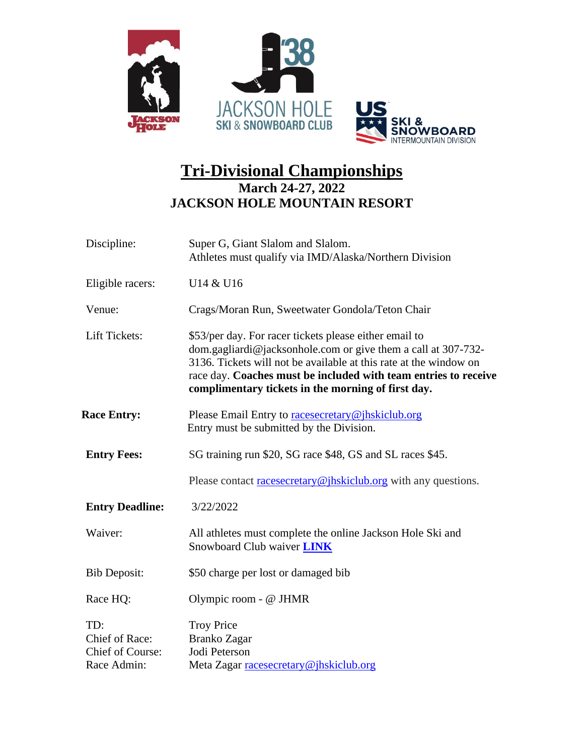

## **Tri-Divisional Championships March 24-27, 2022 JACKSON HOLE MOUNTAIN RESORT**

| Discipline:                                              | Super G, Giant Slalom and Slalom.<br>Athletes must qualify via IMD/Alaska/Northern Division                                                                                                                                                                                                                             |
|----------------------------------------------------------|-------------------------------------------------------------------------------------------------------------------------------------------------------------------------------------------------------------------------------------------------------------------------------------------------------------------------|
| Eligible racers:                                         | U14 & U16                                                                                                                                                                                                                                                                                                               |
| Venue:                                                   | Crags/Moran Run, Sweetwater Gondola/Teton Chair                                                                                                                                                                                                                                                                         |
| Lift Tickets:                                            | \$53/per day. For racer tickets please either email to<br>dom.gagliardi@jacksonhole.com or give them a call at $307-732-$<br>3136. Tickets will not be available at this rate at the window on<br>race day. Coaches must be included with team entries to receive<br>complimentary tickets in the morning of first day. |
| <b>Race Entry:</b>                                       | Please Email Entry to racesecretary@jhskiclub.org<br>Entry must be submitted by the Division.                                                                                                                                                                                                                           |
| <b>Entry Fees:</b>                                       | SG training run \$20, SG race \$48, GS and SL races \$45.                                                                                                                                                                                                                                                               |
|                                                          | Please contact racesecretary@jhskiclub.org with any questions.                                                                                                                                                                                                                                                          |
| <b>Entry Deadline:</b>                                   | 3/22/2022                                                                                                                                                                                                                                                                                                               |
| Waiver:                                                  | All athletes must complete the online Jackson Hole Ski and<br>Snowboard Club waiver <b>LINK</b>                                                                                                                                                                                                                         |
| <b>Bib Deposit:</b>                                      | \$50 charge per lost or damaged bib                                                                                                                                                                                                                                                                                     |
| Race HQ:                                                 | Olympic room - @ JHMR                                                                                                                                                                                                                                                                                                   |
| TD:<br>Chief of Race:<br>Chief of Course:<br>Race Admin: | <b>Troy Price</b><br><b>Branko Zagar</b><br>Jodi Peterson<br>Meta Zagar racesecretary@jhskiclub.org                                                                                                                                                                                                                     |